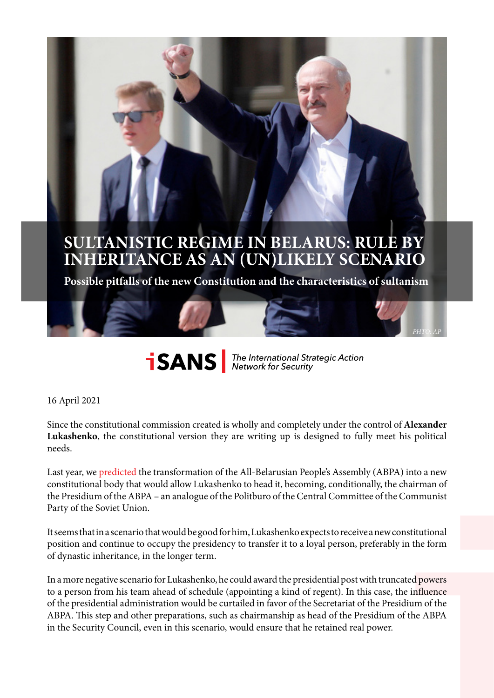# **SULTANISTIC REGIME IN BELARUS: RULE BY INHERITANCE AS AN (UN)LIKELY SCENARIO**

**Possible pitfalls of the new Constitution and the characteristics of sultanism**

**SANS** The International Strategic Action

*PHТО: AP*

#### 16 April 2021

Since the constitutional commission created is wholly and completely under the control of **Alexander Lukashenko**, the constitutional version they are writing up is designed to fully meet his political needs.

Last year, we [predicted](https://reform.by/186049-ujti-chtoby-ostatsja-lukashenko-gotovit-sebe-novuju-dolzhnost) the transformation of the All-Belarusian People's Assembly (ABPA) into a new constitutional body that would allow Lukashenko to head it, becoming, conditionally, the chairman of the Presidium of the ABPA – an analogue of the Politburo of the Central Committee of the Communist Party of the Soviet Union.

It seems that in a scenario that would be good for him, Lukashenko expects to receive a new constitutional position and continue to occupy the presidency to transfer it to a loyal person, preferably in the form of dynastic inheritance, in the longer term.

In a more negative scenario for Lukashenko, he could award the presidential post with truncated powers to a person from his team ahead of schedule (appointing a kind of regent). In this case, the influence of the presidential administration would be curtailed in favor of the Secretariat of the Presidium of the ABPA. This step and other preparations, such as chairmanship as head of the Presidium of the ABPA in the Security Council, even in this scenario, would ensure that he retained real power.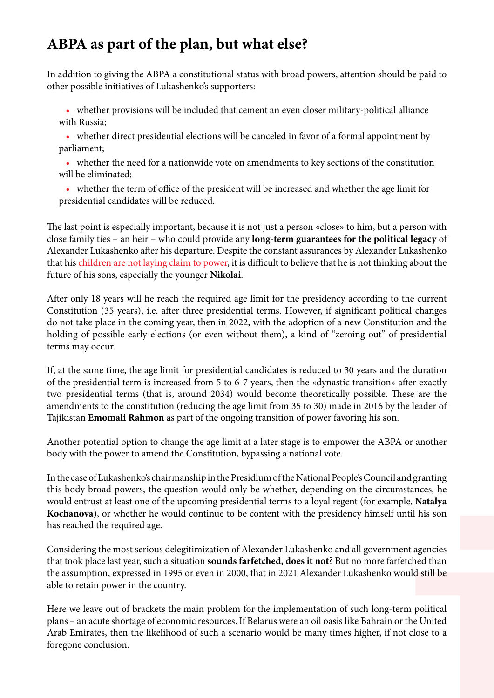### **ABPA as part of the plan, but what else?**

In addition to giving the ABPA a constitutional status with broad powers, attention should be paid to other possible initiatives of Lukashenko's supporters:

• whether provisions will be included that cement an even closer military-political alliance with Russia;

• whether direct presidential elections will be canceled in favor of a formal appointment by parliament;

• whether the need for a nationwide vote on amendments to key sections of the constitution will be eliminated;

• whether the term of office of the president will be increased and whether the age limit for presidential candidates will be reduced.

The last point is especially important, because it is not just a person «close» to him, but a person with close family ties – an heir – who could provide any **long-term guarantees for the political legacy** of Alexander Lukashenko after his departure. Despite the constant assurances by Alexander Lukashenko that his [children are not laying claim to power,](children%20are%20not%20laying%20claim%20to%20power%2C) it is difficult to believe that he is not thinking about the future of his sons, especially the younger **Nikolai**.

After only 18 years will he reach the required age limit for the presidency according to the current Constitution (35 years), i.e. after three presidential terms. However, if significant political changes do not take place in the coming year, then in 2022, with the adoption of a new Constitution and the holding of possible early elections (or even without them), a kind of "zeroing out" of presidential terms may occur.

If, at the same time, the age limit for presidential candidates is reduced to 30 years and the duration of the presidential term is increased from 5 to 6-7 years, then the «dynastic transition» after exactly two presidential terms (that is, around 2034) would become theoretically possible. These are the amendments to the constitution (reducing the age limit from 35 to 30) made in 2016 by the leader of Tajikistan **Emomali Rahmon** as part of the ongoing transition of power favoring his son.

Another potential option to change the age limit at a later stage is to empower the ABPA or another body with the power to amend the Constitution, bypassing a national vote.

In the case of Lukashenko's chairmanship in the Presidium of the National People's Council and granting this body broad powers, the question would only be whether, depending on the circumstances, he would entrust at least one of the upcoming presidential terms to a loyal regent (for example, **Natalya Kochanova**), or whether he would continue to be content with the presidency himself until his son has reached the required age.

Considering the most serious delegitimization of Alexander Lukashenko and all government agencies that took place last year, such a situation **sounds farfetched, does it not**? But no more farfetched than the assumption, expressed in 1995 or even in 2000, that in 2021 Alexander Lukashenko would still be able to retain power in the country.

Here we leave out of brackets the main problem for the implementation of such long-term political plans – an acute shortage of economic resources. If Belarus were an oil oasis like Bahrain or the United Arab Emirates, then the likelihood of such a scenario would be many times higher, if not close to a foregone conclusion.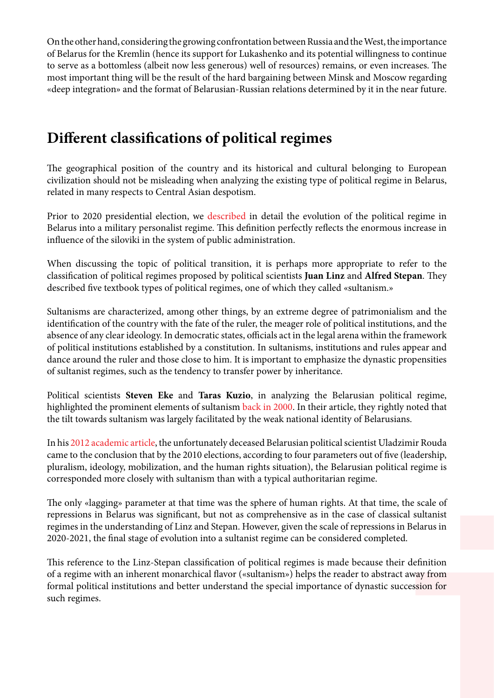On the other hand, considering the growing confrontation between Russia and the West, the importance of Belarus for the Kremlin (hence its support for Lukashenko and its potential willingness to continue to serve as a bottomless (albeit now less generous) well of resources) remains, or even increases. The most important thing will be the result of the hard bargaining between Minsk and Moscow regarding «deep integration» and the format of Belarusian-Russian relations determined by it in the near future.

#### **Different classifications of political regimes**

The geographical position of the country and its historical and cultural belonging to European civilization should not be misleading when analyzing the existing type of political regime in Belarus, related in many respects to Central Asian despotism.

Prior to 2020 presidential election, we [described](https://east-center.org/wp-content/uploads/2020/07/Belarus-at-a-Crossroads-Political-Regime-Transformation-and-Future-Scenarios.pdf) in detail the evolution of the political regime in Belarus into a military personalist regime. This definition perfectly reflects the enormous increase in influence of the siloviki in the system of public administration.

When discussing the topic of political transition, it is perhaps more appropriate to refer to the classification of political regimes proposed by political scientists **Juan Linz** and **Alfred Stepan**. They described five textbook types of political regimes, one of which they called «sultanism.»

Sultanisms are characterized, among other things, by an extreme degree of patrimonialism and the identification of the country with the fate of the ruler, the meager role of political institutions, and the absence of any clear ideology. In democratic states, officials act in the legal arena within the framework of political institutions established by a constitution. In sultanisms, institutions and rules appear and dance around the ruler and those close to him. It is important to emphasize the dynastic propensities of sultanist regimes, such as the tendency to transfer power by inheritance.

Political scientists **Steven Eke** and **Taras Kuzio**, in analyzing the Belarusian political regime, highlighted the prominent elements of sultanism [back in 2000.](http://www.taraskuzio.com/Comparative%2520Politics_files/sultanism.pdf) In their article, they rightly noted that the tilt towards sultanism was largely facilitated by the weak national identity of Belarusians.

In his [2012 academic article,](https://www.journals.vu.lt/BJPS/article/view/432/352) the unfortunately deceased Belarusian political scientist Uladzimir Rouda came to the conclusion that by the 2010 elections, according to four parameters out of five (leadership, pluralism, ideology, mobilization, and the human rights situation), the Belarusian political regime is corresponded more closely with sultanism than with a typical authoritarian regime.

The only «lagging» parameter at that time was the sphere of human rights. At that time, the scale of repressions in Belarus was significant, but not as comprehensive as in the case of classical sultanist regimes in the understanding of Linz and Stepan. However, given the scale of repressions in Belarus in 2020-2021, the final stage of evolution into a sultanist regime can be considered completed.

This reference to the Linz-Stepan classification of political regimes is made because their definition of a regime with an inherent monarchical flavor («sultanism») helps the reader to abstract away from formal political institutions and better understand the special importance of dynastic succession for such regimes.